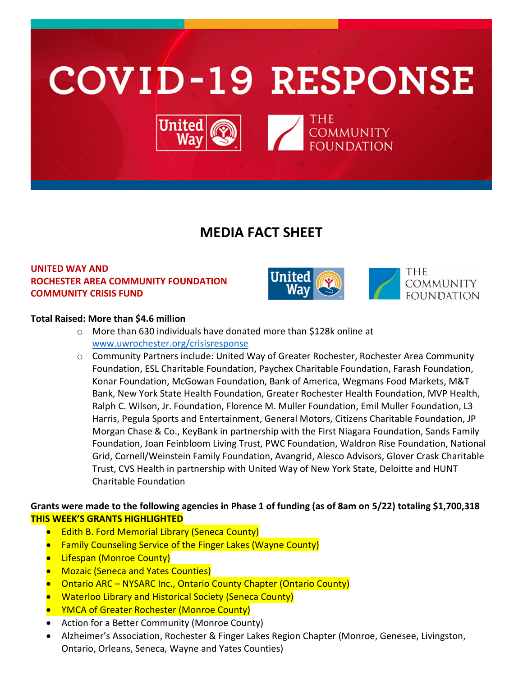

# **MEDIA FACT SHEET**

## **UNITED WAY AND ROCHESTER AREA COMMUNITY FOUNDATION COMMUNITY CRISIS FUND**



THE **COMMUNITY FOUNDATION** 

#### **Total Raised: More than \$4.6 million**

- o More than 630 individuals have donated more than \$128k online at [www.uwrochester.org/crisisresponse](http://www.uwrochester.org/crisisresponse)
- o Community Partners include: United Way of Greater Rochester, Rochester Area Community Foundation, ESL Charitable Foundation, Paychex Charitable Foundation, Farash Foundation, Konar Foundation, McGowan Foundation, Bank of America, Wegmans Food Markets, M&T Bank, New York State Health Foundation, Greater Rochester Health Foundation, MVP Health, Ralph C. Wilson, Jr. Foundation, Florence M. Muller Foundation, Emil Muller Foundation, L3 Harris, Pegula Sports and Entertainment, General Motors, Citizens Charitable Foundation, JP Morgan Chase & Co., KeyBank in partnership with the First Niagara Foundation, Sands Family Foundation, Joan Feinbloom Living Trust, PWC Foundation, Waldron Rise Foundation, National Grid, Cornell/Weinstein Family Foundation, Avangrid, Alesco Advisors, Glover Crask Charitable Trust, CVS Health in partnership with United Way of New York State, Deloitte and HUNT Charitable Foundation

### **Grants were made to the following agencies in Phase 1 of funding (as of 8am on 5/22) totaling \$1,700,318 THIS WEEK'S GRANTS HIGHLIGHTED**

- **Edith B. Ford Memorial Library (Seneca County)**
- Family Counseling Service of the Finger Lakes (Wayne County)
- **Lifespan (Monroe County)**
- Mozaic (Seneca and Yates Counties)
- Ontario ARC NYSARC Inc., Ontario County Chapter (Ontario County)
- Waterloo Library and Historical Society (Seneca County)
- YMCA of Greater Rochester (Monroe County)
- Action for a Better Community (Monroe County)
- Alzheimer's Association, Rochester & Finger Lakes Region Chapter (Monroe, Genesee, Livingston, Ontario, Orleans, Seneca, Wayne and Yates Counties)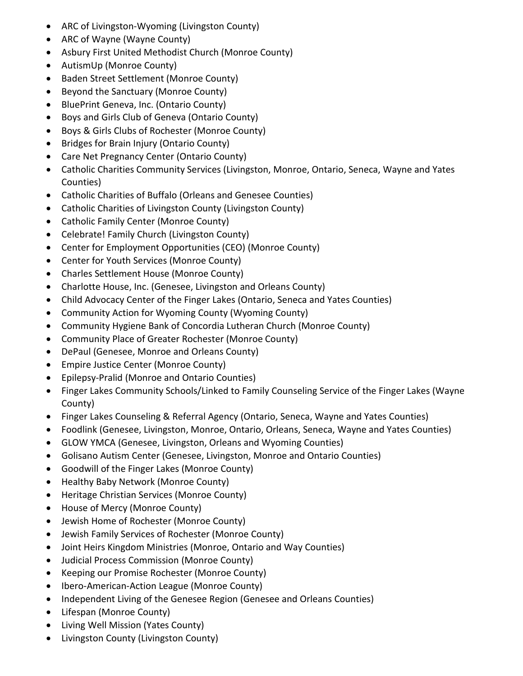- ARC of Livingston-Wyoming (Livingston County)
- ARC of Wayne (Wayne County)
- Asbury First United Methodist Church (Monroe County)
- AutismUp (Monroe County)
- Baden Street Settlement (Monroe County)
- Beyond the Sanctuary (Monroe County)
- BluePrint Geneva, Inc. (Ontario County)
- Boys and Girls Club of Geneva (Ontario County)
- Boys & Girls Clubs of Rochester (Monroe County)
- Bridges for Brain Injury (Ontario County)
- Care Net Pregnancy Center (Ontario County)
- Catholic Charities Community Services (Livingston, Monroe, Ontario, Seneca, Wayne and Yates Counties)
- Catholic Charities of Buffalo (Orleans and Genesee Counties)
- Catholic Charities of Livingston County (Livingston County)
- Catholic Family Center (Monroe County)
- Celebrate! Family Church (Livingston County)
- Center for Employment Opportunities (CEO) (Monroe County)
- Center for Youth Services (Monroe County)
- Charles Settlement House (Monroe County)
- Charlotte House, Inc. (Genesee, Livingston and Orleans County)
- Child Advocacy Center of the Finger Lakes (Ontario, Seneca and Yates Counties)
- Community Action for Wyoming County (Wyoming County)
- Community Hygiene Bank of Concordia Lutheran Church (Monroe County)
- Community Place of Greater Rochester (Monroe County)
- DePaul (Genesee, Monroe and Orleans County)
- Empire Justice Center (Monroe County)
- Epilepsy-Pralid (Monroe and Ontario Counties)
- Finger Lakes Community Schools/Linked to Family Counseling Service of the Finger Lakes (Wayne County)
- Finger Lakes Counseling & Referral Agency (Ontario, Seneca, Wayne and Yates Counties)
- Foodlink (Genesee, Livingston, Monroe, Ontario, Orleans, Seneca, Wayne and Yates Counties)
- GLOW YMCA (Genesee, Livingston, Orleans and Wyoming Counties)
- Golisano Autism Center (Genesee, Livingston, Monroe and Ontario Counties)
- Goodwill of the Finger Lakes (Monroe County)
- Healthy Baby Network (Monroe County)
- Heritage Christian Services (Monroe County)
- House of Mercy (Monroe County)
- Jewish Home of Rochester (Monroe County)
- Jewish Family Services of Rochester (Monroe County)
- Joint Heirs Kingdom Ministries (Monroe, Ontario and Way Counties)
- Judicial Process Commission (Monroe County)
- Keeping our Promise Rochester (Monroe County)
- Ibero-American-Action League (Monroe County)
- Independent Living of the Genesee Region (Genesee and Orleans Counties)
- Lifespan (Monroe County)
- Living Well Mission (Yates County)
- Livingston County (Livingston County)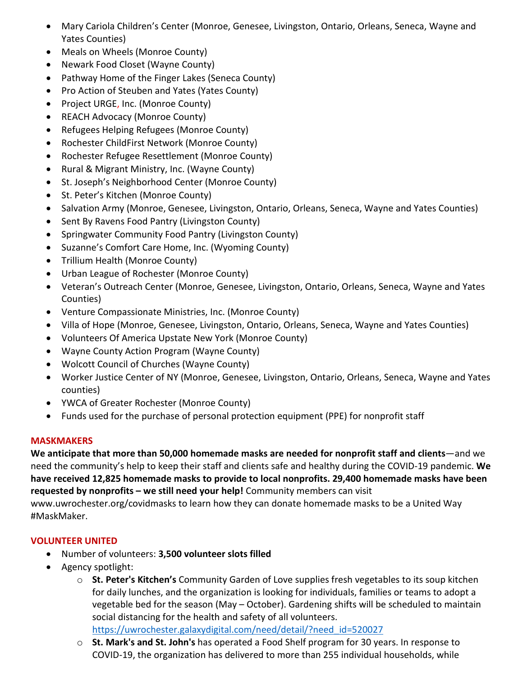- Mary Cariola Children's Center (Monroe, Genesee, Livingston, Ontario, Orleans, Seneca, Wayne and Yates Counties)
- Meals on Wheels (Monroe County)
- Newark Food Closet (Wayne County)
- Pathway Home of the Finger Lakes (Seneca County)
- Pro Action of Steuben and Yates (Yates County)
- Project URGE, Inc. (Monroe County)
- REACH Advocacy (Monroe County)
- Refugees Helping Refugees (Monroe County)
- Rochester ChildFirst Network (Monroe County)
- Rochester Refugee Resettlement (Monroe County)
- Rural & Migrant Ministry, Inc. (Wayne County)
- St. Joseph's Neighborhood Center (Monroe County)
- St. Peter's Kitchen (Monroe County)
- Salvation Army (Monroe, Genesee, Livingston, Ontario, Orleans, Seneca, Wayne and Yates Counties)
- Sent By Ravens Food Pantry (Livingston County)
- Springwater Community Food Pantry (Livingston County)
- Suzanne's Comfort Care Home, Inc. (Wyoming County)
- Trillium Health (Monroe County)
- Urban League of Rochester (Monroe County)
- Veteran's Outreach Center (Monroe, Genesee, Livingston, Ontario, Orleans, Seneca, Wayne and Yates Counties)
- Venture Compassionate Ministries, Inc. (Monroe County)
- Villa of Hope (Monroe, Genesee, Livingston, Ontario, Orleans, Seneca, Wayne and Yates Counties)
- Volunteers Of America Upstate New York (Monroe County)
- Wayne County Action Program (Wayne County)
- Wolcott Council of Churches (Wayne County)
- Worker Justice Center of NY (Monroe, Genesee, Livingston, Ontario, Orleans, Seneca, Wayne and Yates counties)
- YWCA of Greater Rochester (Monroe County)
- Funds used for the purchase of personal protection equipment (PPE) for nonprofit staff

### **MASKMAKERS**

**We anticipate that more than 50,000 homemade masks are needed for nonprofit staff and clients**—and we need the community's help to keep their staff and clients safe and healthy during the COVID-19 pandemic. **We have received 12,825 homemade masks to provide to local nonprofits. 29,400 homemade masks have been requested by nonprofits – we still need your help!** Community members can visit

www.uwrochester.org/covidmasks to learn how they can donate homemade masks to be a United Way #MaskMaker.

### **VOLUNTEER UNITED**

- Number of volunteers: **3,500 volunteer slots filled**
- Agency spotlight:
	- o **St. Peter's Kitchen's** Community Garden of Love supplies fresh vegetables to its soup kitchen for daily lunches, and the organization is looking for individuals, families or teams to adopt a vegetable bed for the season (May – October). Gardening shifts will be scheduled to maintain social distancing for the health and safety of all volunteers.

[https://uwrochester.galaxydigital.com/need/detail/?need\\_id=520027](https://uwrochester.galaxydigital.com/need/detail/?need_id=520027)

o **St. Mark's and St. John's** has operated a Food Shelf program for 30 years. In response to COVID-19, the organization has delivered to more than 255 individual households, while